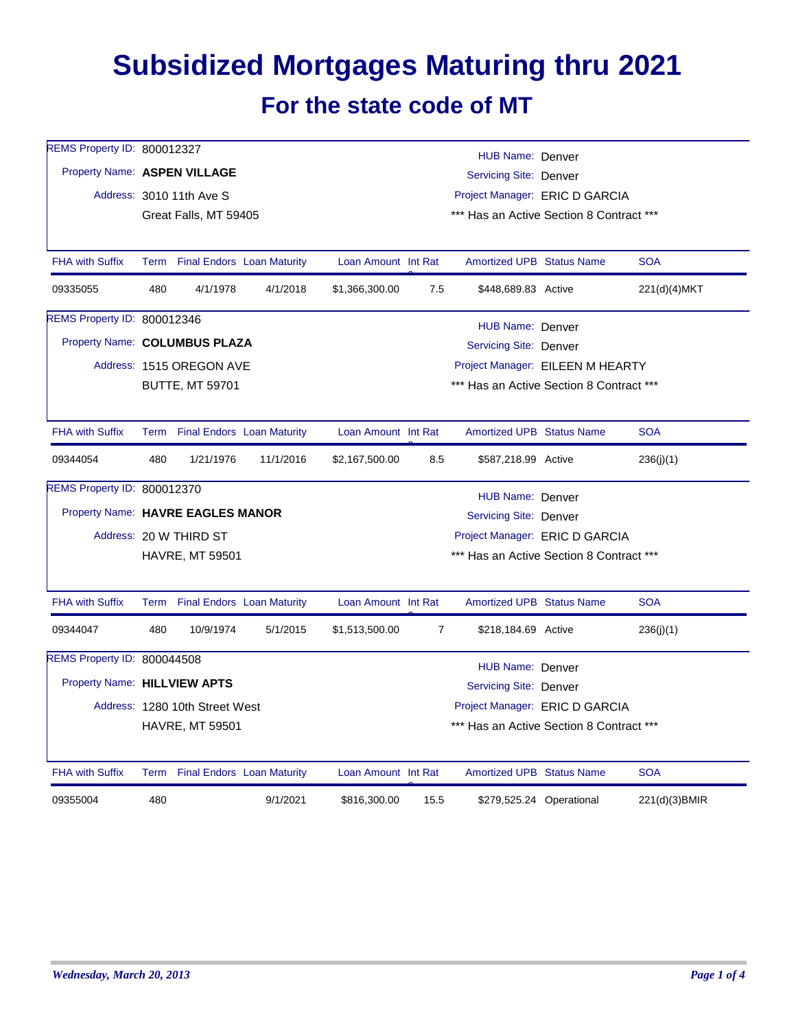## **Subsidized Mortgages Maturing thru 2021 For the state code of MT**

| REMS Property ID: 800012327       |     |                                 |           |                                                                            |                                          | HUB Name: Denver                         |                          |               |  |  |
|-----------------------------------|-----|---------------------------------|-----------|----------------------------------------------------------------------------|------------------------------------------|------------------------------------------|--------------------------|---------------|--|--|
| Property Name: ASPEN VILLAGE      |     |                                 |           | Servicing Site: Denver                                                     |                                          |                                          |                          |               |  |  |
|                                   |     | Address: 3010 11th Ave S        |           | Project Manager: ERIC D GARCIA<br>*** Has an Active Section 8 Contract *** |                                          |                                          |                          |               |  |  |
|                                   |     | Great Falls, MT 59405           |           |                                                                            |                                          |                                          |                          |               |  |  |
|                                   |     |                                 |           |                                                                            |                                          |                                          |                          |               |  |  |
| <b>FHA with Suffix</b>            |     | Term Final Endors Loan Maturity |           | Loan Amount Int Rat                                                        |                                          | <b>Amortized UPB Status Name</b>         |                          | <b>SOA</b>    |  |  |
| 09335055                          | 480 | 4/1/1978                        | 4/1/2018  | \$1,366,300.00                                                             | 7.5                                      | \$448,689.83 Active                      |                          | 221(d)(4)MKT  |  |  |
| REMS Property ID: 800012346       |     |                                 |           |                                                                            |                                          | <b>HUB Name: Denver</b>                  |                          |               |  |  |
| Property Name: COLUMBUS PLAZA     |     |                                 |           |                                                                            |                                          | Servicing Site: Denver                   |                          |               |  |  |
|                                   |     | Address: 1515 OREGON AVE        |           |                                                                            |                                          | Project Manager: EILEEN M HEARTY         |                          |               |  |  |
|                                   |     | <b>BUTTE, MT 59701</b>          |           |                                                                            | *** Has an Active Section 8 Contract *** |                                          |                          |               |  |  |
|                                   |     |                                 |           |                                                                            |                                          |                                          |                          |               |  |  |
| <b>FHA with Suffix</b>            |     | Term Final Endors Loan Maturity |           | Loan Amount Int Rat                                                        |                                          | <b>Amortized UPB Status Name</b>         |                          | <b>SOA</b>    |  |  |
| 09344054                          | 480 | 1/21/1976                       | 11/1/2016 | \$2,167,500.00                                                             | 8.5                                      | \$587,218.99 Active                      |                          | 236(j)(1)     |  |  |
| REMS Property ID: 800012370       |     |                                 |           |                                                                            |                                          | HUB Name: Denver                         |                          |               |  |  |
| Property Name: HAVRE EAGLES MANOR |     |                                 |           |                                                                            |                                          | <b>Servicing Site: Denver</b>            |                          |               |  |  |
|                                   |     | Address: 20 W THIRD ST          |           |                                                                            |                                          | Project Manager: ERIC D GARCIA           |                          |               |  |  |
|                                   |     | <b>HAVRE, MT 59501</b>          |           |                                                                            | *** Has an Active Section 8 Contract *** |                                          |                          |               |  |  |
|                                   |     |                                 |           |                                                                            |                                          |                                          |                          |               |  |  |
| <b>FHA with Suffix</b>            |     | Term Final Endors Loan Maturity |           | Loan Amount Int Rat                                                        |                                          | <b>Amortized UPB Status Name</b>         |                          | <b>SOA</b>    |  |  |
| 09344047                          | 480 | 10/9/1974                       | 5/1/2015  | \$1,513,500.00                                                             | $\overline{7}$                           | \$218,184.69 Active                      |                          | 236(j)(1)     |  |  |
| REMS Property ID: 800044508       |     |                                 |           |                                                                            |                                          | HUB Name: Denver                         |                          |               |  |  |
| Property Name: HILLVIEW APTS      |     |                                 |           |                                                                            |                                          | Servicing Site: Denver                   |                          |               |  |  |
|                                   |     | Address: 1280 10th Street West  |           |                                                                            |                                          | Project Manager: ERIC D GARCIA           |                          |               |  |  |
|                                   |     | <b>HAVRE, MT 59501</b>          |           |                                                                            |                                          | *** Has an Active Section 8 Contract *** |                          |               |  |  |
|                                   |     |                                 |           |                                                                            |                                          |                                          |                          |               |  |  |
| <b>FHA with Suffix</b>            |     | Term Final Endors Loan Maturity |           | Loan Amount Int Rat                                                        |                                          | <b>Amortized UPB Status Name</b>         |                          | <b>SOA</b>    |  |  |
| 09355004                          | 480 |                                 | 9/1/2021  | \$816,300.00                                                               | 15.5                                     |                                          | \$279,525.24 Operational | 221(d)(3)BMIR |  |  |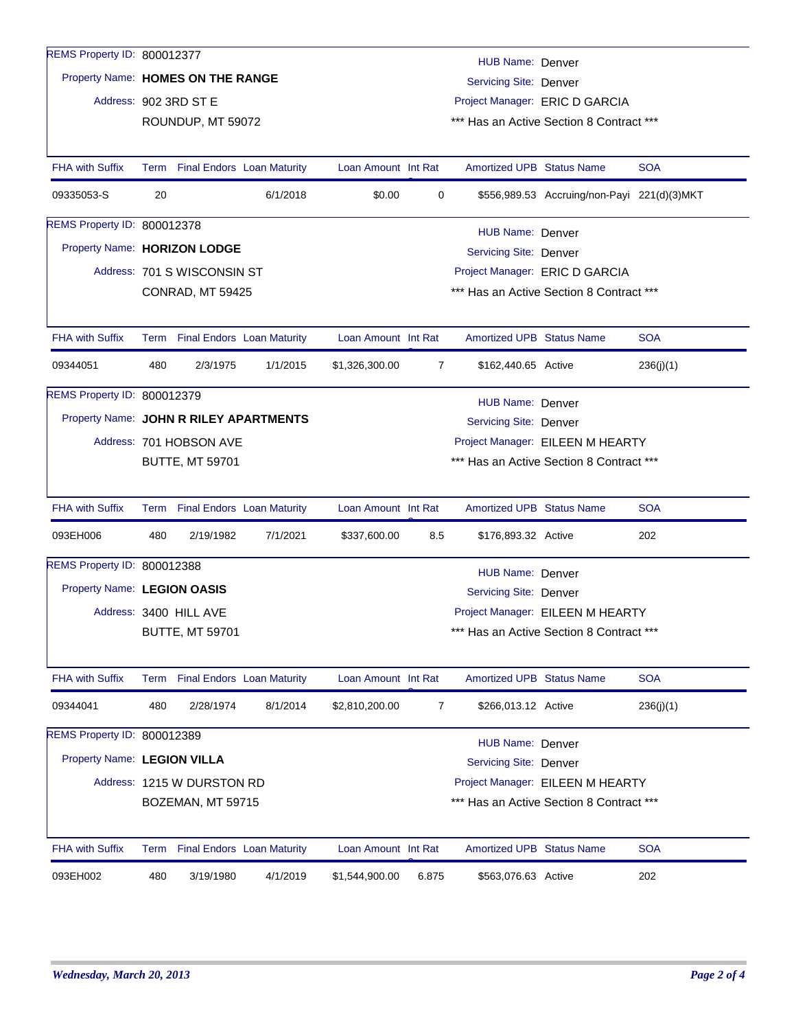| REMS Property ID: 800012377            |     |                             |                                 |                     |                | HUB Name: Denver                         |                                             |            |  |  |
|----------------------------------------|-----|-----------------------------|---------------------------------|---------------------|----------------|------------------------------------------|---------------------------------------------|------------|--|--|
| Property Name: HOMES ON THE RANGE      |     |                             |                                 |                     |                | Servicing Site: Denver                   |                                             |            |  |  |
|                                        |     | Address: 902 3RD ST E       |                                 |                     |                |                                          | Project Manager: ERIC D GARCIA              |            |  |  |
|                                        |     | ROUNDUP, MT 59072           |                                 |                     |                |                                          | *** Has an Active Section 8 Contract ***    |            |  |  |
|                                        |     |                             |                                 |                     |                |                                          |                                             |            |  |  |
| <b>FHA with Suffix</b>                 |     |                             | Term Final Endors Loan Maturity | Loan Amount Int Rat |                | <b>Amortized UPB Status Name</b>         |                                             | <b>SOA</b> |  |  |
| 09335053-S                             | 20  |                             | 6/1/2018                        | \$0.00              | 0              |                                          | \$556,989.53 Accruing/non-Payi 221(d)(3)MKT |            |  |  |
| REMS Property ID: 800012378            |     |                             |                                 |                     |                | HUB Name: Denver                         |                                             |            |  |  |
| Property Name: HORIZON LODGE           |     |                             |                                 |                     |                | Servicing Site: Denver                   |                                             |            |  |  |
|                                        |     | Address: 701 S WISCONSIN ST |                                 |                     |                | Project Manager: ERIC D GARCIA           |                                             |            |  |  |
|                                        |     | CONRAD, MT 59425            |                                 |                     |                | *** Has an Active Section 8 Contract *** |                                             |            |  |  |
|                                        |     |                             |                                 |                     |                |                                          |                                             |            |  |  |
| <b>FHA with Suffix</b>                 |     |                             | Term Final Endors Loan Maturity | Loan Amount Int Rat |                | <b>Amortized UPB Status Name</b>         |                                             | <b>SOA</b> |  |  |
| 09344051                               | 480 | 2/3/1975                    | 1/1/2015                        | \$1,326,300.00      | $\overline{7}$ | \$162,440.65 Active                      |                                             | 236(j)(1)  |  |  |
| REMS Property ID: 800012379            |     |                             |                                 |                     |                | HUB Name: Denver                         |                                             |            |  |  |
| Property Name: JOHN R RILEY APARTMENTS |     |                             |                                 |                     |                | Servicing Site: Denver                   |                                             |            |  |  |
|                                        |     | Address: 701 HOBSON AVE     |                                 |                     |                |                                          | Project Manager: EILEEN M HEARTY            |            |  |  |
|                                        |     | <b>BUTTE, MT 59701</b>      |                                 |                     |                |                                          | *** Has an Active Section 8 Contract ***    |            |  |  |
|                                        |     |                             |                                 |                     |                |                                          |                                             |            |  |  |
| <b>FHA with Suffix</b>                 |     |                             | Term Final Endors Loan Maturity | Loan Amount Int Rat |                | <b>Amortized UPB Status Name</b>         |                                             | <b>SOA</b> |  |  |
| 093EH006                               | 480 | 2/19/1982                   | 7/1/2021                        | \$337,600.00        | 8.5            | \$176,893.32 Active                      |                                             | 202        |  |  |
| REMS Property ID: 800012388            |     |                             |                                 |                     |                | <b>HUB Name: Denver</b>                  |                                             |            |  |  |
| Property Name: LEGION OASIS            |     |                             |                                 |                     |                | <b>Servicing Site: Denver</b>            |                                             |            |  |  |
|                                        |     | Address: 3400 HILL AVE      |                                 |                     |                |                                          | Project Manager: EILEEN M HEARTY            |            |  |  |
|                                        |     | <b>BUTTE, MT 59701</b>      |                                 |                     |                |                                          | *** Has an Active Section 8 Contract ***    |            |  |  |
|                                        |     |                             |                                 |                     |                |                                          |                                             |            |  |  |
| <b>FHA with Suffix</b>                 |     |                             | Term Final Endors Loan Maturity | Loan Amount Int Rat |                | Amortized UPB Status Name                |                                             | <b>SOA</b> |  |  |
| 09344041                               | 480 | 2/28/1974                   | 8/1/2014                        | \$2,810,200.00      | 7              | \$266,013.12 Active                      |                                             | 236(j)(1)  |  |  |
| REMS Property ID: 800012389            |     |                             |                                 |                     |                | HUB Name: Denver                         |                                             |            |  |  |
| Property Name: LEGION VILLA            |     |                             |                                 |                     |                | <b>Servicing Site: Denver</b>            |                                             |            |  |  |
|                                        |     | Address: 1215 W DURSTON RD  |                                 |                     |                |                                          | Project Manager: EILEEN M HEARTY            |            |  |  |
|                                        |     | BOZEMAN, MT 59715           |                                 |                     |                |                                          | *** Has an Active Section 8 Contract ***    |            |  |  |
|                                        |     |                             |                                 |                     |                |                                          |                                             |            |  |  |
| <b>FHA with Suffix</b>                 |     |                             | Term Final Endors Loan Maturity | Loan Amount Int Rat |                | <b>Amortized UPB Status Name</b>         |                                             | <b>SOA</b> |  |  |
| 093EH002                               | 480 | 3/19/1980                   | 4/1/2019                        | \$1,544,900.00      | 6.875          | \$563,076.63 Active                      |                                             | 202        |  |  |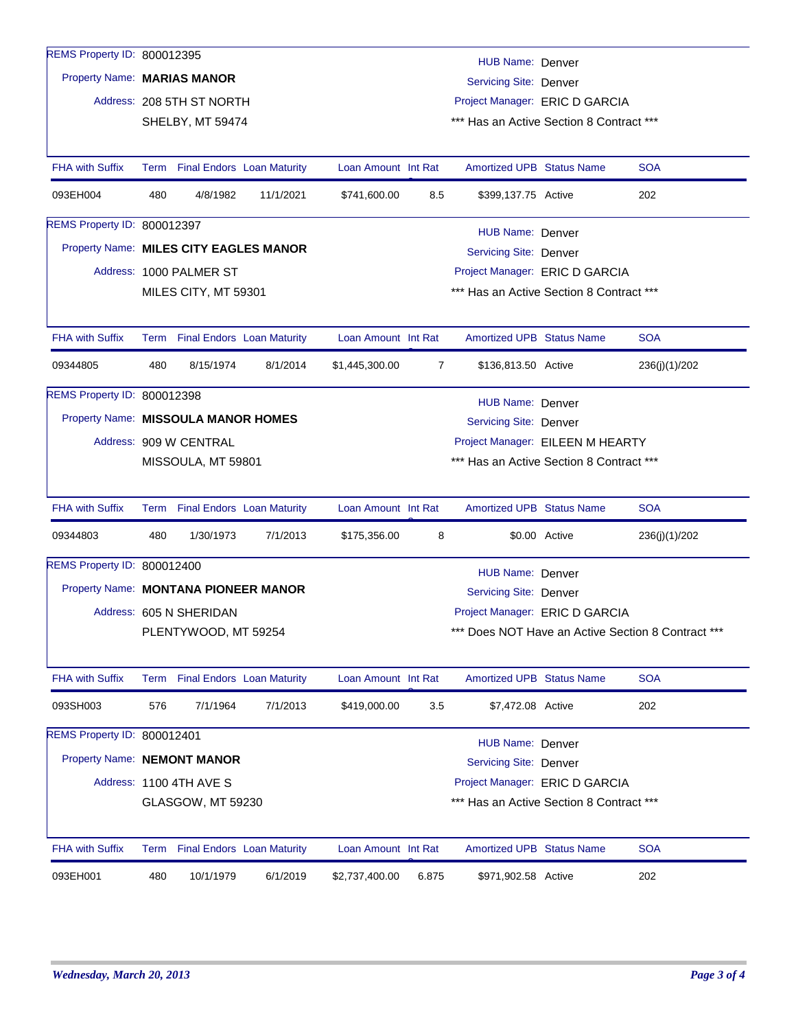| REMS Property ID: 800012395            |      |                           |                                   |                                                                            |                |                                          |               |                                                    |  |  |
|----------------------------------------|------|---------------------------|-----------------------------------|----------------------------------------------------------------------------|----------------|------------------------------------------|---------------|----------------------------------------------------|--|--|
|                                        |      |                           |                                   |                                                                            |                | HUB Name: Denver                         |               |                                                    |  |  |
| Property Name: MARIAS MANOR            |      |                           |                                   | Servicing Site: Denver                                                     |                |                                          |               |                                                    |  |  |
|                                        |      | Address: 208 5TH ST NORTH |                                   |                                                                            |                | Project Manager: ERIC D GARCIA           |               |                                                    |  |  |
|                                        |      | SHELBY, MT 59474          |                                   |                                                                            |                | *** Has an Active Section 8 Contract *** |               |                                                    |  |  |
|                                        |      |                           |                                   |                                                                            |                |                                          |               |                                                    |  |  |
| <b>FHA with Suffix</b>                 |      |                           | Term Final Endors Loan Maturity   | Loan Amount Int Rat                                                        |                | <b>Amortized UPB Status Name</b>         |               | <b>SOA</b>                                         |  |  |
| 093EH004                               | 480  | 4/8/1982                  | 11/1/2021                         | \$741,600.00                                                               | 8.5            | \$399,137.75 Active                      |               | 202                                                |  |  |
| REMS Property ID: 800012397            |      |                           |                                   |                                                                            |                | HUB Name: Denver                         |               |                                                    |  |  |
| Property Name: MILES CITY EAGLES MANOR |      |                           |                                   |                                                                            |                | Servicing Site: Denver                   |               |                                                    |  |  |
|                                        |      | Address: 1000 PALMER ST   |                                   |                                                                            |                |                                          |               |                                                    |  |  |
|                                        |      | MILES CITY, MT 59301      |                                   | Project Manager: ERIC D GARCIA<br>*** Has an Active Section 8 Contract *** |                |                                          |               |                                                    |  |  |
|                                        |      |                           |                                   |                                                                            |                |                                          |               |                                                    |  |  |
| <b>FHA with Suffix</b>                 |      |                           | Term Final Endors Loan Maturity   | Loan Amount Int Rat                                                        |                | <b>Amortized UPB Status Name</b>         |               | <b>SOA</b>                                         |  |  |
| 09344805                               | 480  | 8/15/1974                 | 8/1/2014                          | \$1,445,300.00                                                             | $\overline{7}$ | \$136,813.50 Active                      |               | 236(j)(1)/202                                      |  |  |
| REMS Property ID: 800012398            |      |                           |                                   |                                                                            |                | HUB Name: Denver                         |               |                                                    |  |  |
| Property Name: MISSOULA MANOR HOMES    |      |                           |                                   |                                                                            |                | Servicing Site: Denver                   |               |                                                    |  |  |
|                                        |      | Address: 909 W CENTRAL    |                                   |                                                                            |                | Project Manager: EILEEN M HEARTY         |               |                                                    |  |  |
|                                        |      | MISSOULA, MT 59801        |                                   |                                                                            |                | *** Has an Active Section 8 Contract *** |               |                                                    |  |  |
|                                        |      |                           |                                   |                                                                            |                |                                          |               |                                                    |  |  |
| <b>FHA with Suffix</b>                 |      |                           | Term Final Endors Loan Maturity   | Loan Amount Int Rat                                                        |                | <b>Amortized UPB Status Name</b>         |               | <b>SOA</b>                                         |  |  |
|                                        |      |                           |                                   |                                                                            |                |                                          |               |                                                    |  |  |
| 09344803                               | 480  | 1/30/1973                 | 7/1/2013                          | \$175,356.00                                                               | 8              |                                          | \$0.00 Active | 236(j)(1)/202                                      |  |  |
| REMS Property ID: 800012400            |      |                           |                                   |                                                                            |                |                                          |               |                                                    |  |  |
|                                        |      |                           |                                   |                                                                            |                | HUB Name: Denver                         |               |                                                    |  |  |
| Property Name: MONTANA PIONEER MANOR   |      |                           |                                   |                                                                            |                | Servicing Site: Denver                   |               |                                                    |  |  |
|                                        |      | Address: 605 N SHERIDAN   |                                   |                                                                            |                | Project Manager: ERIC D GARCIA           |               |                                                    |  |  |
|                                        |      | PLENTYWOOD, MT 59254      |                                   |                                                                            |                |                                          |               | *** Does NOT Have an Active Section 8 Contract *** |  |  |
| <b>FHA with Suffix</b>                 | Term |                           | <b>Final Endors</b> Loan Maturity | Loan Amount Int Rat                                                        |                | <b>Amortized UPB Status Name</b>         |               | <b>SOA</b>                                         |  |  |
| 093SH003                               | 576  | 7/1/1964                  | 7/1/2013                          | \$419,000.00                                                               | 3.5            | \$7,472.08 Active                        |               | 202                                                |  |  |
| REMS Property ID: 800012401            |      |                           |                                   |                                                                            |                |                                          |               |                                                    |  |  |
| Property Name: NEMONT MANOR            |      |                           |                                   |                                                                            |                | HUB Name: Denver                         |               |                                                    |  |  |
|                                        |      |                           |                                   |                                                                            |                | Servicing Site: Denver                   |               |                                                    |  |  |
|                                        |      | Address: 1100 4TH AVE S   |                                   |                                                                            |                | Project Manager: ERIC D GARCIA           |               |                                                    |  |  |
|                                        |      | GLASGOW, MT 59230         |                                   |                                                                            |                | *** Has an Active Section 8 Contract *** |               |                                                    |  |  |
| <b>FHA with Suffix</b>                 | Term |                           | <b>Final Endors Loan Maturity</b> | Loan Amount Int Rat                                                        |                | <b>Amortized UPB Status Name</b>         |               | <b>SOA</b>                                         |  |  |